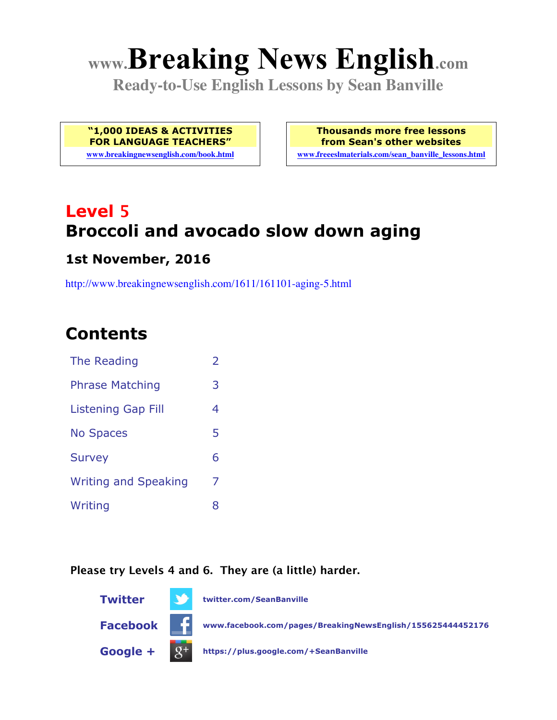# **www.Breaking News English.com**

**Ready-to-Use English Lessons by Sean Banville**

**"1,000 IDEAS & ACTIVITIES FOR LANGUAGE TEACHERS"**

**www.breakingnewsenglish.com/book.html**

**Thousands more free lessons from Sean's other websites www.freeeslmaterials.com/sean\_banville\_lessons.html**

## **Level 5 Broccoli and avocado slow down aging**

### **1st November, 2016**

http://www.breakingnewsenglish.com/1611/161101-aging-5.html

### **Contents**

| The Reading                 | $\overline{2}$ |
|-----------------------------|----------------|
| <b>Phrase Matching</b>      | 3              |
| <b>Listening Gap Fill</b>   | 4              |
| <b>No Spaces</b>            | 5              |
| <b>Survey</b>               | 6              |
| <b>Writing and Speaking</b> | 7              |
| Writing                     | 8              |

#### **Please try Levels 4 and 6. They are (a little) harder.**

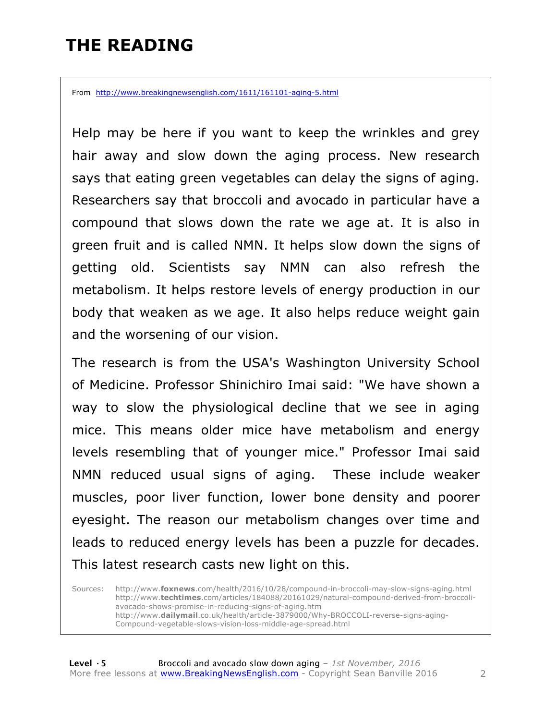### **THE READING**

From http://www.breakingnewsenglish.com/1611/161101-aging-5.html

Help may be here if you want to keep the wrinkles and grey hair away and slow down the aging process. New research says that eating green vegetables can delay the signs of aging. Researchers say that broccoli and avocado in particular have a compound that slows down the rate we age at. It is also in green fruit and is called NMN. It helps slow down the signs of getting old. Scientists say NMN can also refresh the metabolism. It helps restore levels of energy production in our body that weaken as we age. It also helps reduce weight gain and the worsening of our vision.

The research is from the USA's Washington University School of Medicine. Professor Shinichiro Imai said: "We have shown a way to slow the physiological decline that we see in aging mice. This means older mice have metabolism and energy levels resembling that of younger mice." Professor Imai said NMN reduced usual signs of aging. These include weaker muscles, poor liver function, lower bone density and poorer eyesight. The reason our metabolism changes over time and leads to reduced energy levels has been a puzzle for decades. This latest research casts new light on this.

Sources: http://www.**foxnews**.com/health/2016/10/28/compound-in-broccoli-may-slow-signs-aging.html http://www.**techtimes**.com/articles/184088/20161029/natural-compound-derived-from-broccoliavocado-shows-promise-in-reducing-signs-of-aging.htm http://www.**dailymail**.co.uk/health/article-3879000/Why-BROCCOLI-reverse-signs-aging-Compound-vegetable-slows-vision-loss-middle-age-spread.html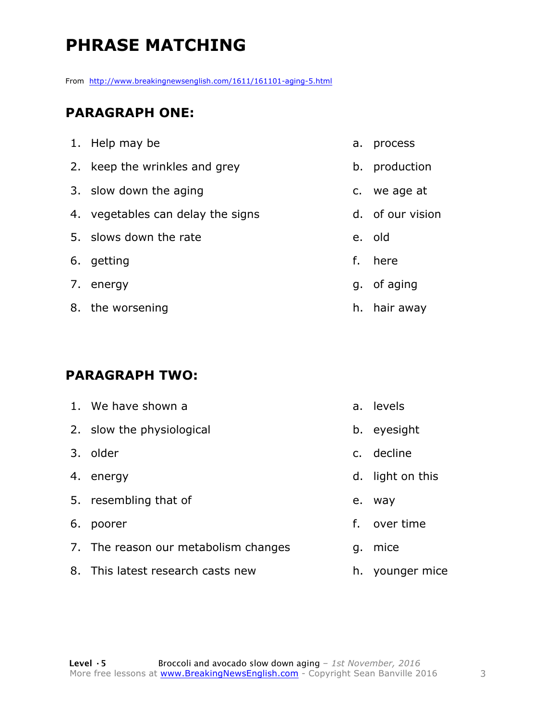### **PHRASE MATCHING**

From http://www.breakingnewsenglish.com/1611/161101-aging-5.html

#### **PARAGRAPH ONE:**

| 1. Help may be                    | a. process       |
|-----------------------------------|------------------|
| 2. keep the wrinkles and grey     | b. production    |
| 3. slow down the aging            | c. we age at     |
| 4. vegetables can delay the signs | d. of our vision |
| 5. slows down the rate            | e. old           |
| 6. getting                        | f. here          |
| 7. energy                         | g. of aging      |
| 8. the worsening                  | h. hair away     |

#### **PARAGRAPH TWO:**

| 1. We have shown a                   | a. | levels           |
|--------------------------------------|----|------------------|
| 2. slow the physiological            |    | b. eyesight      |
| 3. older                             |    | c. decline       |
| 4. energy                            |    | d. light on this |
| 5. resembling that of                | e. | way              |
| 6. poorer                            | f. | over time        |
| 7. The reason our metabolism changes | q. | mice             |
| 8. This latest research casts new    |    | h. younger mice  |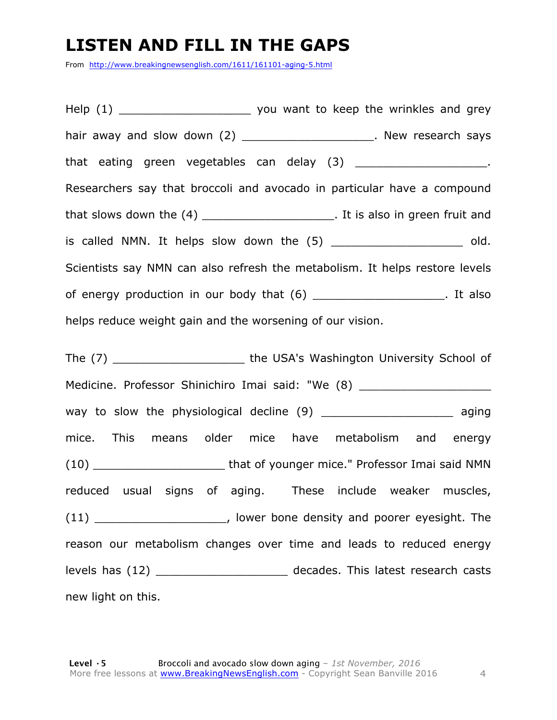### **LISTEN AND FILL IN THE GAPS**

From http://www.breakingnewsenglish.com/1611/161101-aging-5.html

Help (1) The same you want to keep the wrinkles and grey hair away and slow down (2) **Example 2** and slow boxers are several says that eating green vegetables can delay (3) \_\_\_\_\_\_\_\_\_\_\_\_\_\_\_\_\_\_\_\_\_. Researchers say that broccoli and avocado in particular have a compound that slows down the (4) \_\_\_\_\_\_\_\_\_\_\_\_\_\_\_\_\_\_\_\_\_\_. It is also in green fruit and is called NMN. It helps slow down the  $(5)$  \_\_\_\_\_\_\_\_\_\_\_\_\_\_\_\_\_\_\_\_\_\_\_\_\_\_\_\_\_\_\_\_ old. Scientists say NMN can also refresh the metabolism. It helps restore levels of energy production in our body that (6) \_\_\_\_\_\_\_\_\_\_\_\_\_\_\_\_\_\_. It also helps reduce weight gain and the worsening of our vision.

The (7) \_\_\_\_\_\_\_\_\_\_\_\_\_\_\_\_\_\_\_ the USA's Washington University School of Medicine. Professor Shinichiro Imai said: "We (8) \_\_\_\_\_\_\_\_\_\_\_\_\_\_\_\_\_\_\_\_\_\_\_\_\_\_\_\_\_\_ way to slow the physiological decline (9) aging mice. This means older mice have metabolism and energy (10) \_\_\_\_\_\_\_\_\_\_\_\_\_\_\_\_\_\_\_ that of younger mice." Professor Imai said NMN reduced usual signs of aging. These include weaker muscles, (11) \_\_\_\_\_\_\_\_\_\_\_\_\_\_\_\_\_\_\_\_\_\_, lower bone density and poorer eyesight. The reason our metabolism changes over time and leads to reduced energy levels has (12) \_\_\_\_\_\_\_\_\_\_\_\_\_\_\_\_\_\_\_ decades. This latest research casts new light on this.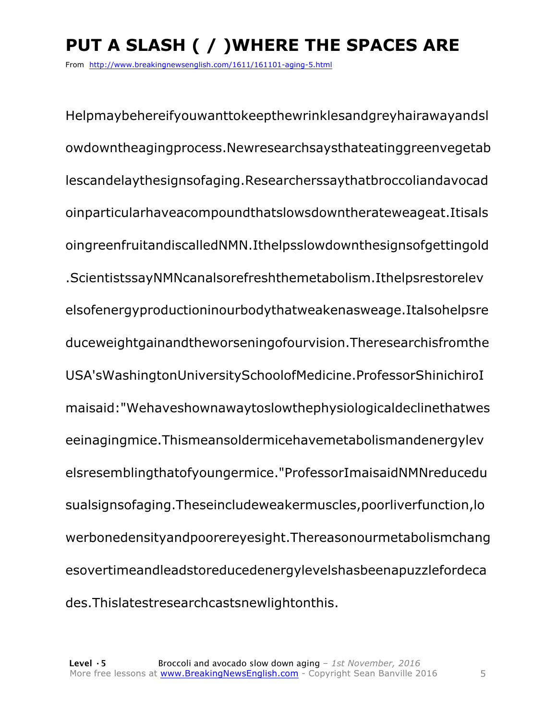### **PUT A SLASH ( / )WHERE THE SPACES ARE**

From http://www.breakingnewsenglish.com/1611/161101-aging-5.html

Helpmaybehereifyouwanttokeepthewrinklesandgreyhairawayandsl owdowntheagingprocess.Newresearchsaysthateatinggreenvegetab lescandelaythesignsofaging.Researcherssaythatbroccoliandavocad oinparticularhaveacompoundthatslowsdowntherateweageat.Itisals oingreenfruitandiscalledNMN.Ithelpsslowdownthesignsofgettingold .ScientistssayNMNcanalsorefreshthemetabolism.Ithelpsrestorelev elsofenergyproductioninourbodythatweakenasweage.Italsohelpsre duceweightgainandtheworseningofourvision.Theresearchisfromthe USA'sWashingtonUniversitySchoolofMedicine.ProfessorShinichiroI maisaid:"Wehaveshownawaytoslowthephysiologicaldeclinethatwes eeinagingmice.Thismeansoldermicehavemetabolismandenergylev elsresemblingthatofyoungermice."ProfessorImaisaidNMNreducedu sualsignsofaging.Theseincludeweakermuscles,poorliverfunction,lo werbonedensityandpoorereyesight.Thereasonourmetabolismchang esovertimeandleadstoreducedenergylevelshasbeenapuzzlefordeca des.Thislatestresearchcastsnewlightonthis.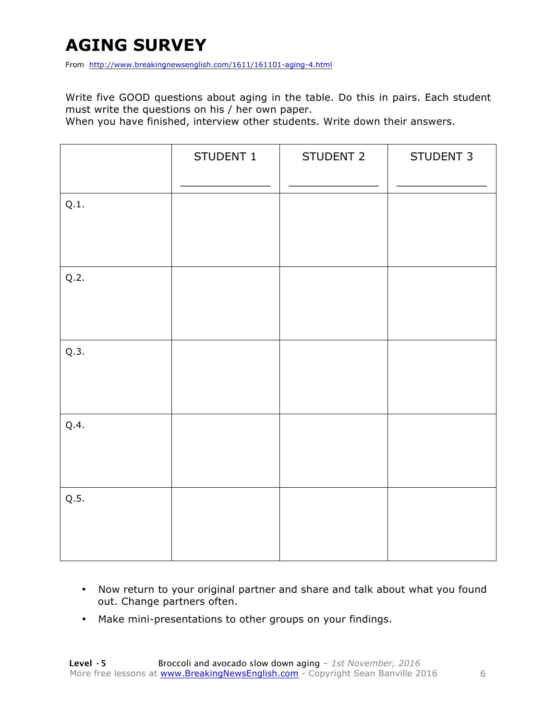### **AGING SURVEY**

From http://www.breakingnewsenglish.com/1611/161101-aging-4.html

Write five GOOD questions about aging in the table. Do this in pairs. Each student must write the questions on his / her own paper.

When you have finished, interview other students. Write down their answers.

|      | STUDENT 1 | STUDENT 2 | STUDENT 3 |
|------|-----------|-----------|-----------|
| Q.1. |           |           |           |
| Q.2. |           |           |           |
| Q.3. |           |           |           |
| Q.4. |           |           |           |
| Q.5. |           |           |           |

- Now return to your original partner and share and talk about what you found out. Change partners often.
- Make mini-presentations to other groups on your findings.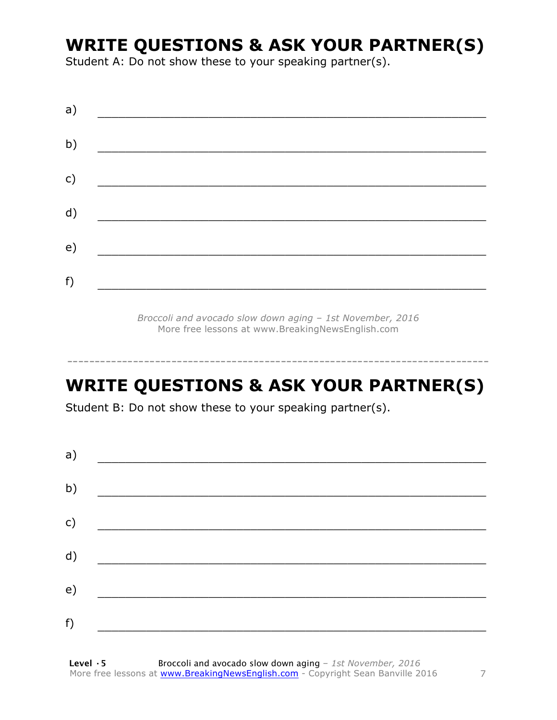### **WRITE QUESTIONS & ASK YOUR PARTNER(S)**

Student A: Do not show these to your speaking partner(s).

*Broccoli and avocado slow down aging – 1st November, 2016* More free lessons at www.BreakingNewsEnglish.com

### **WRITE QUESTIONS & ASK YOUR PARTNER(S)**

-----------------------------------------------------------------------------

Student B: Do not show these to your speaking partner(s).

| a) |  |  |
|----|--|--|
| b) |  |  |
| c) |  |  |
| d) |  |  |
| e) |  |  |
| f) |  |  |
|    |  |  |